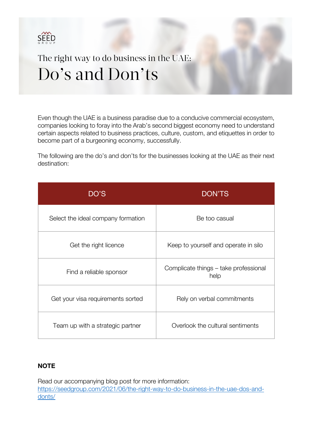

The right way to do business in the UAE: Do's and Don'ts

Even though the UAE is a business paradise due to a conducive commercial ecosystem, companies looking to foray into the Arab's second biggest economy need to understand certain aspects related to business practices, culture, custom, and etiquettes in order to become part of a burgeoning economy, successfully.

The following are the do's and don'ts for the businesses looking at the UAE as their next destination:

| DO'S                               | <b>DON'TS</b>                                 |
|------------------------------------|-----------------------------------------------|
| Select the ideal company formation | Be too casual                                 |
| Get the right licence              | Keep to yourself and operate in silo          |
| Find a reliable sponsor            | Complicate things – take professional<br>help |
| Get your visa requirements sorted  | Rely on verbal commitments                    |
| Team up with a strategic partner   | Overlook the cultural sentiments              |

#### **NOTE**

Read our accompanying blog post for more information: https://seedgroup.com/2021/06/the-right-way-to-do-business-in-the-uae-dos-anddonts/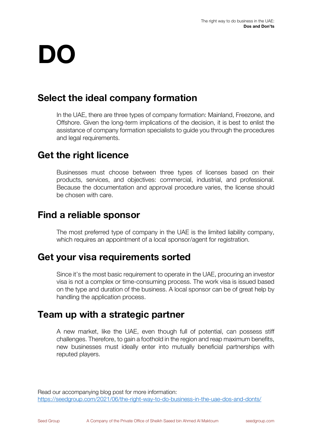# **DO**

# **Select the ideal company formation**

In the UAE, there are three types of company formation: Mainland, Freezone, and Offshore. Given the long-term implications of the decision, it is best to enlist the assistance of company formation specialists to guide you through the procedures and legal requirements.

# **Get the right licence**

Businesses must choose between three types of licenses based on their products, services, and objectives: commercial, industrial, and professional. Because the documentation and approval procedure varies, the license should be chosen with care.

### **Find a reliable sponsor**

The most preferred type of company in the UAE is the limited liability company, which requires an appointment of a local sponsor/agent for registration.

### **Get your visa requirements sorted**

Since it's the most basic requirement to operate in the UAE, procuring an investor visa is not a complex or time-consuming process. The work visa is issued based on the type and duration of the business. A local sponsor can be of great help by handling the application process.

### **Team up with a strategic partner**

A new market, like the UAE, even though full of potential, can possess stiff challenges. Therefore, to gain a foothold in the region and reap maximum benefits, new businesses must ideally enter into mutually beneficial partnerships with reputed players.

Read our accompanying blog post for more information: https://seedgroup.com/2021/06/the-right-way-to-do-business-in-the-uae-dos-and-donts/